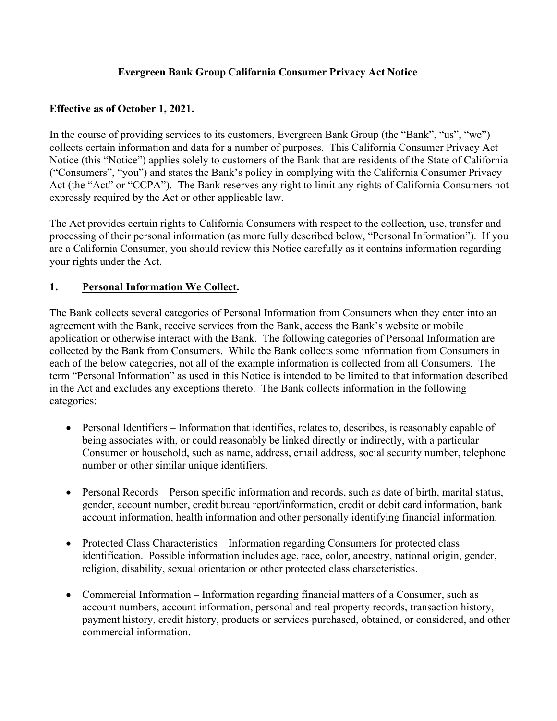### **Evergreen Bank Group California Consumer Privacy Act Notice**

### **Effective as of October 1, 2021.**

In the course of providing services to its customers, Evergreen Bank Group (the "Bank", "us", "we") collects certain information and data for a number of purposes. This California Consumer Privacy Act Notice (this "Notice") applies solely to customers of the Bank that are residents of the State of California ("Consumers", "you") and states the Bank's policy in complying with the California Consumer Privacy Act (the "Act" or "CCPA"). The Bank reserves any right to limit any rights of California Consumers not expressly required by the Act or other applicable law.

The Act provides certain rights to California Consumers with respect to the collection, use, transfer and processing of their personal information (as more fully described below, "Personal Information"). If you are a California Consumer, you should review this Notice carefully as it contains information regarding your rights under the Act.

## **1. Personal Information We Collect.**

The Bank collects several categories of Personal Information from Consumers when they enter into an agreement with the Bank, receive services from the Bank, access the Bank's website or mobile application or otherwise interact with the Bank. The following categories of Personal Information are collected by the Bank from Consumers. While the Bank collects some information from Consumers in each of the below categories, not all of the example information is collected from all Consumers. The term "Personal Information" as used in this Notice is intended to be limited to that information described in the Act and excludes any exceptions thereto. The Bank collects information in the following categories:

- Personal Identifiers Information that identifies, relates to, describes, is reasonably capable of being associates with, or could reasonably be linked directly or indirectly, with a particular Consumer or household, such as name, address, email address, social security number, telephone number or other similar unique identifiers.
- Personal Records Person specific information and records, such as date of birth, marital status, gender, account number, credit bureau report/information, credit or debit card information, bank account information, health information and other personally identifying financial information.
- Protected Class Characteristics Information regarding Consumers for protected class identification. Possible information includes age, race, color, ancestry, national origin, gender, religion, disability, sexual orientation or other protected class characteristics.
- Commercial Information Information regarding financial matters of a Consumer, such as account numbers, account information, personal and real property records, transaction history, payment history, credit history, products or services purchased, obtained, or considered, and other commercial information.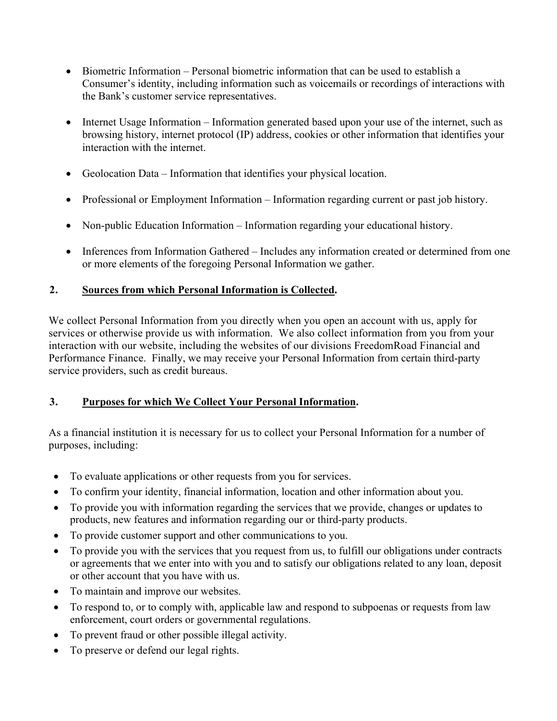- Biometric Information Personal biometric information that can be used to establish a Consumer's identity, including information such as voicemails or recordings of interactions with the Bank's customer service representatives.
- Internet Usage Information Information generated based upon your use of the internet, such as browsing history, internet protocol (IP) address, cookies or other information that identifies your interaction with the internet.
- Geolocation Data Information that identifies your physical location.
- Professional or Employment Information Information regarding current or past job history.
- Non-public Education Information Information regarding your educational history.
- Inferences from Information Gathered Includes any information created or determined from one or more elements of the foregoing Personal Information we gather.

## **2. Sources from which Personal Information is Collected.**

We collect Personal Information from you directly when you open an account with us, apply for services or otherwise provide us with information. We also collect information from you from your interaction with our website, including the websites of our divisions FreedomRoad Financial and Performance Finance. Finally, we may receive your Personal Information from certain third-party service providers, such as credit bureaus.

#### **3. Purposes for which We Collect Your Personal Information.**

As a financial institution it is necessary for us to collect your Personal Information for a number of purposes, including:

- To evaluate applications or other requests from you for services.
- To confirm your identity, financial information, location and other information about you.
- To provide you with information regarding the services that we provide, changes or updates to products, new features and information regarding our or third-party products.
- To provide customer support and other communications to you.
- To provide you with the services that you request from us, to fulfill our obligations under contracts or agreements that we enter into with you and to satisfy our obligations related to any loan, deposit or other account that you have with us.
- To maintain and improve our websites.
- To respond to, or to comply with, applicable law and respond to subpoenas or requests from law enforcement, court orders or governmental regulations.
- To prevent fraud or other possible illegal activity.
- To preserve or defend our legal rights.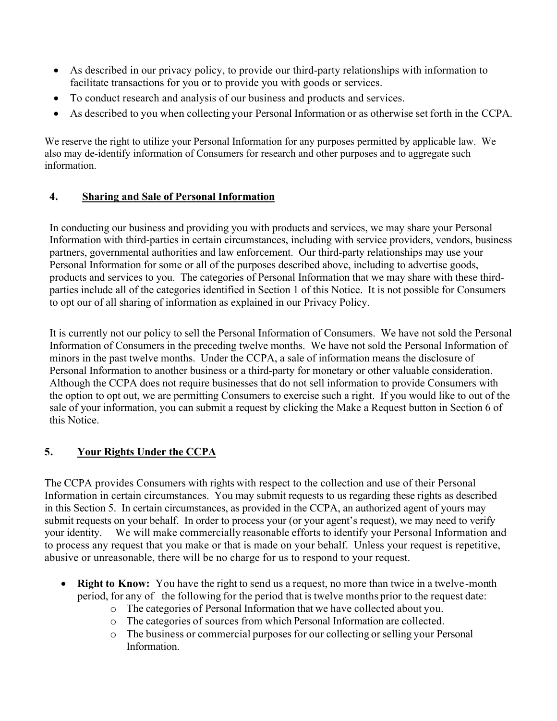- As described in our privacy policy, to provide our third-party relationships with information to facilitate transactions for you or to provide you with goods or services.
- To conduct research and analysis of our business and products and services.
- As described to you when collecting your Personal Information or as otherwise set forth in the CCPA.

We reserve the right to utilize your Personal Information for any purposes permitted by applicable law. We also may de-identify information of Consumers for research and other purposes and to aggregate such information.

## **4. Sharing and Sale of Personal Information**

In conducting our business and providing you with products and services, we may share your Personal Information with third-parties in certain circumstances, including with service providers, vendors, business partners, governmental authorities and law enforcement. Our third-party relationships may use your Personal Information for some or all of the purposes described above, including to advertise goods, products and services to you. The categories of Personal Information that we may share with these thirdparties include all of the categories identified in Section 1 of this Notice. It is not possible for Consumers to opt our of all sharing of information as explained in our Privacy Policy.

It is currently not our policy to sell the Personal Information of Consumers. We have not sold the Personal Information of Consumers in the preceding twelve months. We have not sold the Personal Information of minors in the past twelve months. Under the CCPA, a sale of information means the disclosure of Personal Information to another business or a third-party for monetary or other valuable consideration. Although the CCPA does not require businesses that do not sell information to provide Consumers with the option to opt out, we are permitting Consumers to exercise such a right. If you would like to out of the sale of your information, you can submit a request by clicking the Make a Request button in Section 6 of this Notice.

# **5. Your Rights Under the CCPA**

The CCPA provides Consumers with rights with respect to the collection and use of their Personal Information in certain circumstances. You may submit requests to us regarding these rights as described in this Section 5. In certain circumstances, as provided in the CCPA, an authorized agent of yours may submit requests on your behalf. In order to process your (or your agent's request), we may need to verify your identity. We will make commercially reasonable efforts to identify your Personal Information and to process any request that you make or that is made on your behalf. Unless your request is repetitive, abusive or unreasonable, there will be no charge for us to respond to your request.

- **Right to Know:** You have the right to send us a request, no more than twice in a twelve-month period, for any of the following for the period that is twelve months prior to the request date:
	- o The categories of Personal Information that we have collected about you.
	- o The categories of sources from which Personal Information are collected.
	- o The business or commercial purposes for our collecting or selling your Personal Information.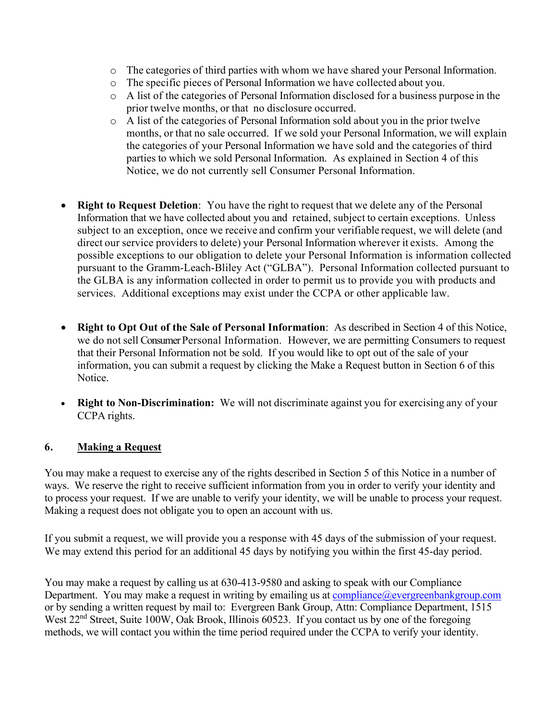- o The categories of third parties with whom we have shared your Personal Information.
- o The specific pieces of Personal Information we have collected about you.
- o A list of the categories of Personal Information disclosed for a business purpose in the prior twelve months, or that no disclosure occurred.
- o A list of the categories of Personal Information sold about you in the prior twelve months, or that no sale occurred. If we sold your Personal Information, we will explain the categories of your Personal Information we have sold and the categories of third parties to which we sold Personal Information. As explained in Section 4 of this Notice, we do not currently sell Consumer Personal Information.
- **Right to Request Deletion**: You have the right to request that we delete any of the Personal Information that we have collected about you and retained, subject to certain exceptions. Unless subject to an exception, once we receive and confirm your verifiable request, we will delete (and direct our service providers to delete) your Personal Information wherever it exists. Among the possible exceptions to our obligation to delete your Personal Information is information collected pursuant to the Gramm-Leach-Bliley Act ("GLBA"). Personal Information collected pursuant to the GLBA is any information collected in order to permit us to provide you with products and services. Additional exceptions may exist under the CCPA or other applicable law.
- **Right to Opt Out of the Sale of Personal Information**: As described in Section 4 of this Notice, we do not sell Consumer Personal Information. However, we are permitting Consumers to request that their Personal Information not be sold. If you would like to opt out of the sale of your information, you can submit a request by clicking the Make a Request button in Section 6 of this Notice.
- **Right to Non-Discrimination:** We will not discriminate against you for exercising any of your CCPA rights.

# **6. Making a Request**

You may make a request to exercise any of the rights described in Section 5 of this Notice in a number of ways. We reserve the right to receive sufficient information from you in order to verify your identity and to process your request. If we are unable to verify your identity, we will be unable to process your request. Making a request does not obligate you to open an account with us.

If you submit a request, we will provide you a response with 45 days of the submission of your request. We may extend this period for an additional 45 days by notifying you within the first 45-day period.

You may make a request by calling us at 630-413-9580 and asking to speak with our Compliance Department. You may make a request in writing by emailing us at  $\overline{compliance}$   $@evergreenbankgroup.com$ or by sending a written request by mail to: Evergreen Bank Group, Attn: Compliance Department, 1515 West 22<sup>nd</sup> Street, Suite 100W, Oak Brook, Illinois 60523. If you contact us by one of the foregoing methods, we will contact you within the time period required under the CCPA to verify your identity.